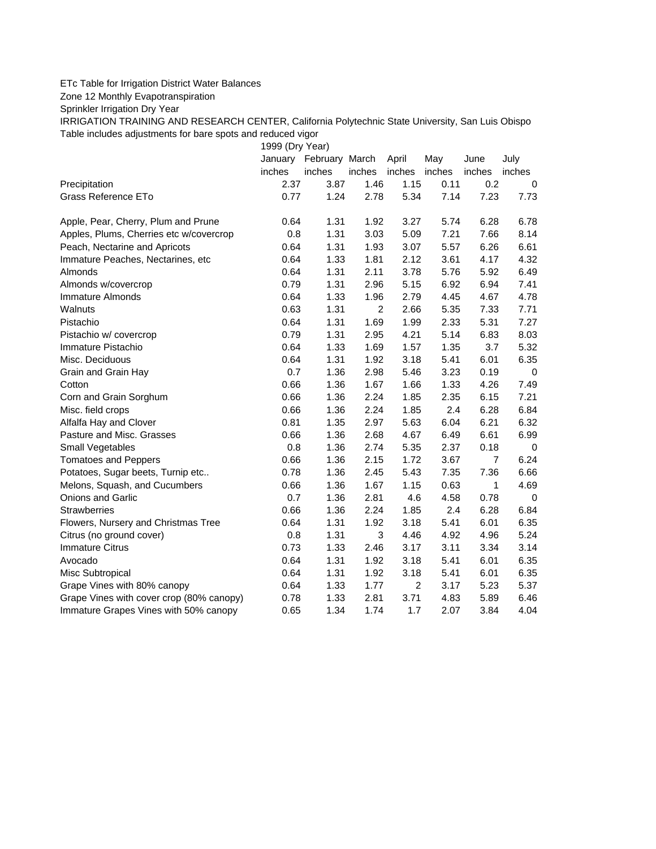## ETc Table for Irrigation District Water Balances

Zone 12 Monthly Evapotranspiration

Sprinkler Irrigation Dry Year

IRRIGATION TRAINING AND RESEARCH CENTER, California Polytechnic State University, San Luis Obispo Table includes adjustments for bare spots and reduced vigor

1999 (Dry Year)

|                                          |        | January February March |        | April          | May    | June           | July        |
|------------------------------------------|--------|------------------------|--------|----------------|--------|----------------|-------------|
|                                          | inches | inches                 | inches | inches         | inches | inches         | inches      |
| Precipitation                            | 2.37   | 3.87                   | 1.46   | 1.15           | 0.11   | 0.2            | 0           |
| Grass Reference ETo                      | 0.77   | 1.24                   | 2.78   | 5.34           | 7.14   | 7.23           | 7.73        |
| Apple, Pear, Cherry, Plum and Prune      | 0.64   | 1.31                   | 1.92   | 3.27           | 5.74   | 6.28           | 6.78        |
| Apples, Plums, Cherries etc w/covercrop  | 0.8    | 1.31                   | 3.03   | 5.09           | 7.21   | 7.66           | 8.14        |
| Peach, Nectarine and Apricots            | 0.64   | 1.31                   | 1.93   | 3.07           | 5.57   | 6.26           | 6.61        |
| Immature Peaches, Nectarines, etc        | 0.64   | 1.33                   | 1.81   | 2.12           | 3.61   | 4.17           | 4.32        |
| Almonds                                  | 0.64   | 1.31                   | 2.11   | 3.78           | 5.76   | 5.92           | 6.49        |
| Almonds w/covercrop                      | 0.79   | 1.31                   | 2.96   | 5.15           | 6.92   | 6.94           | 7.41        |
| Immature Almonds                         | 0.64   | 1.33                   | 1.96   | 2.79           | 4.45   | 4.67           | 4.78        |
| Walnuts                                  | 0.63   | 1.31                   | 2      | 2.66           | 5.35   | 7.33           | 7.71        |
| Pistachio                                | 0.64   | 1.31                   | 1.69   | 1.99           | 2.33   | 5.31           | 7.27        |
| Pistachio w/ covercrop                   | 0.79   | 1.31                   | 2.95   | 4.21           | 5.14   | 6.83           | 8.03        |
| Immature Pistachio                       | 0.64   | 1.33                   | 1.69   | 1.57           | 1.35   | 3.7            | 5.32        |
| Misc. Deciduous                          | 0.64   | 1.31                   | 1.92   | 3.18           | 5.41   | 6.01           | 6.35        |
| Grain and Grain Hay                      | 0.7    | 1.36                   | 2.98   | 5.46           | 3.23   | 0.19           | 0           |
| Cotton                                   | 0.66   | 1.36                   | 1.67   | 1.66           | 1.33   | 4.26           | 7.49        |
| Corn and Grain Sorghum                   | 0.66   | 1.36                   | 2.24   | 1.85           | 2.35   | 6.15           | 7.21        |
| Misc. field crops                        | 0.66   | 1.36                   | 2.24   | 1.85           | 2.4    | 6.28           | 6.84        |
| Alfalfa Hay and Clover                   | 0.81   | 1.35                   | 2.97   | 5.63           | 6.04   | 6.21           | 6.32        |
| Pasture and Misc. Grasses                | 0.66   | 1.36                   | 2.68   | 4.67           | 6.49   | 6.61           | 6.99        |
| Small Vegetables                         | 0.8    | 1.36                   | 2.74   | 5.35           | 2.37   | 0.18           | 0           |
| <b>Tomatoes and Peppers</b>              | 0.66   | 1.36                   | 2.15   | 1.72           | 3.67   | $\overline{7}$ | 6.24        |
| Potatoes, Sugar beets, Turnip etc        | 0.78   | 1.36                   | 2.45   | 5.43           | 7.35   | 7.36           | 6.66        |
| Melons, Squash, and Cucumbers            | 0.66   | 1.36                   | 1.67   | 1.15           | 0.63   | 1              | 4.69        |
| Onions and Garlic                        | 0.7    | 1.36                   | 2.81   | 4.6            | 4.58   | 0.78           | $\mathbf 0$ |
| <b>Strawberries</b>                      | 0.66   | 1.36                   | 2.24   | 1.85           | 2.4    | 6.28           | 6.84        |
| Flowers, Nursery and Christmas Tree      | 0.64   | 1.31                   | 1.92   | 3.18           | 5.41   | 6.01           | 6.35        |
| Citrus (no ground cover)                 | 0.8    | 1.31                   | 3      | 4.46           | 4.92   | 4.96           | 5.24        |
| <b>Immature Citrus</b>                   | 0.73   | 1.33                   | 2.46   | 3.17           | 3.11   | 3.34           | 3.14        |
| Avocado                                  | 0.64   | 1.31                   | 1.92   | 3.18           | 5.41   | 6.01           | 6.35        |
| Misc Subtropical                         | 0.64   | 1.31                   | 1.92   | 3.18           | 5.41   | 6.01           | 6.35        |
| Grape Vines with 80% canopy              | 0.64   | 1.33                   | 1.77   | $\overline{c}$ | 3.17   | 5.23           | 5.37        |
| Grape Vines with cover crop (80% canopy) | 0.78   | 1.33                   | 2.81   | 3.71           | 4.83   | 5.89           | 6.46        |
| Immature Grapes Vines with 50% canopy    | 0.65   | 1.34                   | 1.74   | 1.7            | 2.07   | 3.84           | 4.04        |